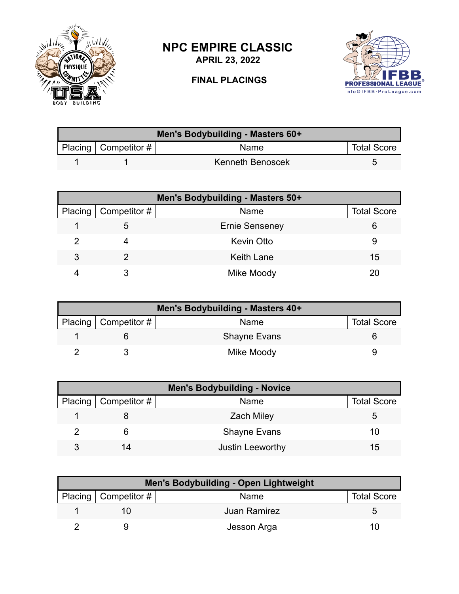

## **NPC EMPIRE CLASSIC**

**APRIL 23, 2022**

## **FINAL PLACINGS**



| Men's Bodybuilding - Masters 60+ |                          |                         |                    |  |
|----------------------------------|--------------------------|-------------------------|--------------------|--|
|                                  | Placing   Competitor $#$ | Name                    | <b>Total Score</b> |  |
|                                  |                          | <b>Kenneth Benoscek</b> |                    |  |

| Men's Bodybuilding - Masters 50+ |                        |                       |                    |  |
|----------------------------------|------------------------|-----------------------|--------------------|--|
|                                  | Placing   Competitor # | Name                  | <b>Total Score</b> |  |
|                                  | G                      | <b>Ernie Senseney</b> | 6                  |  |
|                                  |                        | <b>Kevin Otto</b>     | 9                  |  |
| 3                                |                        | <b>Keith Lane</b>     | 15                 |  |
|                                  |                        | Mike Moody            | 2Ο                 |  |

| Men's Bodybuilding - Masters 40+ |                          |                     |                    |  |
|----------------------------------|--------------------------|---------------------|--------------------|--|
|                                  | Placing   Competitor $#$ | Name                | <b>Total Score</b> |  |
|                                  |                          | <b>Shayne Evans</b> |                    |  |
|                                  |                          | Mike Moody          |                    |  |

| <b>Men's Bodybuilding - Novice</b> |                              |                     |                    |
|------------------------------------|------------------------------|---------------------|--------------------|
|                                    | Placing $\vert$ Competitor # | Name                | <b>Total Score</b> |
|                                    |                              | <b>Zach Miley</b>   | 5.                 |
|                                    |                              | <b>Shayne Evans</b> | 10                 |
| ર                                  | 14                           | Justin Leeworthy    | 15                 |

| Men's Bodybuilding - Open Lightweight |                     |                    |  |  |
|---------------------------------------|---------------------|--------------------|--|--|
| Placing   Competitor $#$              | Name                | <b>Total Score</b> |  |  |
|                                       | <b>Juan Ramirez</b> |                    |  |  |
|                                       | Jesson Arga         | 10                 |  |  |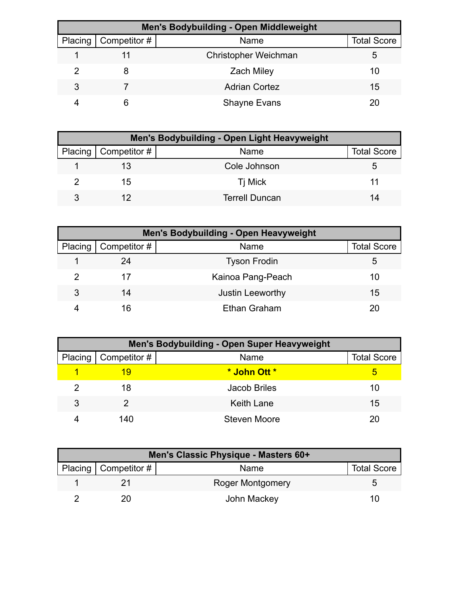| <b>Men's Bodybuilding - Open Middleweight</b> |              |                      |                    |  |
|-----------------------------------------------|--------------|----------------------|--------------------|--|
| Placing                                       | Competitor # | Name                 | <b>Total Score</b> |  |
|                                               |              | Christopher Weichman |                    |  |
|                                               |              | <b>Zach Miley</b>    | 10                 |  |
| 3                                             |              | <b>Adrian Cortez</b> | 15                 |  |
|                                               |              | <b>Shayne Evans</b>  | 20                 |  |

| Men's Bodybuilding - Open Light Heavyweight |                       |                    |  |  |
|---------------------------------------------|-----------------------|--------------------|--|--|
| Placing   Competitor #                      | Name                  | <b>Total Score</b> |  |  |
|                                             | Cole Johnson          |                    |  |  |
| 15                                          | Tj Mick               |                    |  |  |
|                                             | <b>Terrell Duncan</b> | 14                 |  |  |

| <b>Men's Bodybuilding - Open Heavyweight</b> |                     |                     |                    |  |
|----------------------------------------------|---------------------|---------------------|--------------------|--|
| Placing I                                    | $\mid$ Competitor # | Name                | <b>Total Score</b> |  |
|                                              | 24                  | <b>Tyson Frodin</b> | b                  |  |
|                                              | 17                  | Kainoa Pang-Peach   | 10                 |  |
| 3                                            | 14                  | Justin Leeworthy    | 15                 |  |
|                                              | 16                  | Ethan Graham        |                    |  |

| <b>Men's Bodybuilding - Open Super Heavyweight</b> |                        |                     |                    |  |
|----------------------------------------------------|------------------------|---------------------|--------------------|--|
|                                                    | Placing   Competitor # | Name                | <b>Total Score</b> |  |
|                                                    | 19                     | * John Ott *        | b                  |  |
| 2                                                  | 18                     | <b>Jacob Briles</b> | 10                 |  |
| 3                                                  |                        | <b>Keith Lane</b>   | 15                 |  |
|                                                    | 140                    | Steven Moore        | 20                 |  |

| Men's Classic Physique - Masters 60+ |                         |                    |  |  |
|--------------------------------------|-------------------------|--------------------|--|--|
| Placing   Competitor #               | Name                    | <b>Total Score</b> |  |  |
|                                      | <b>Roger Montgomery</b> | G                  |  |  |
|                                      | John Mackey             | 10                 |  |  |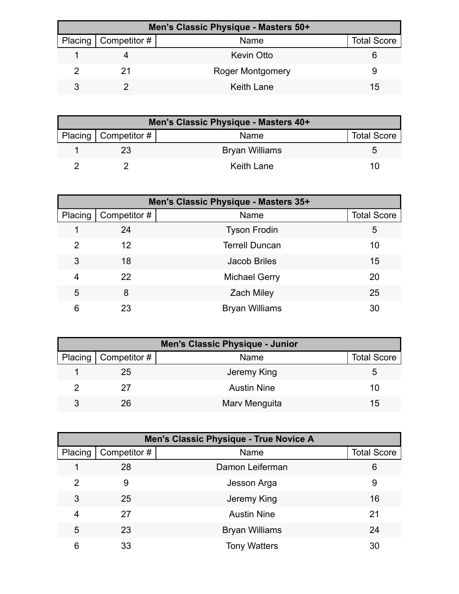| Men's Classic Physique - Masters 50+ |                        |                         |                    |  |
|--------------------------------------|------------------------|-------------------------|--------------------|--|
|                                      | Placing   Competitor # | Name                    | <b>Total Score</b> |  |
|                                      |                        | <b>Kevin Otto</b>       |                    |  |
|                                      |                        | <b>Roger Montgomery</b> |                    |  |
|                                      |                        | Keith Lane              | 15                 |  |

| Men's Classic Physique - Masters 40+ |                       |                    |  |  |
|--------------------------------------|-----------------------|--------------------|--|--|
| Placing   Competitor $#$             | Name                  | <b>Total Score</b> |  |  |
|                                      | <b>Bryan Williams</b> |                    |  |  |
|                                      | Keith Lane            | 10                 |  |  |

|         | Men's Classic Physique - Masters 35+ |                       |                    |  |  |
|---------|--------------------------------------|-----------------------|--------------------|--|--|
| Placing | Competitor #                         | Name                  | <b>Total Score</b> |  |  |
|         | 24                                   | <b>Tyson Frodin</b>   | 5                  |  |  |
| 2       | 12                                   | <b>Terrell Duncan</b> | 10                 |  |  |
| 3       | 18                                   | <b>Jacob Briles</b>   | 15                 |  |  |
| 4       | 22                                   | <b>Michael Gerry</b>  | 20                 |  |  |
| 5       | 8                                    | <b>Zach Miley</b>     | 25                 |  |  |
| 6       | 23                                   | <b>Bryan Williams</b> | 30                 |  |  |

| <b>Men's Classic Physique - Junior</b> |                        |                    |                    |
|----------------------------------------|------------------------|--------------------|--------------------|
|                                        | Placing   Competitor # | Name               | <b>Total Score</b> |
|                                        | 25                     | Jeremy King        | :C                 |
|                                        | 27                     | <b>Austin Nine</b> | 10                 |
| 3                                      | 26                     | Marv Menguita      | $15^{\circ}$       |

|         | Men's Classic Physique - True Novice A |                       |                    |  |  |
|---------|----------------------------------------|-----------------------|--------------------|--|--|
| Placing | Competitor #                           | Name                  | <b>Total Score</b> |  |  |
|         | 28                                     | Damon Leiferman       | 6                  |  |  |
| 2       | 9                                      | Jesson Arga           | 9                  |  |  |
| 3       | 25                                     | Jeremy King           | 16                 |  |  |
| 4       | 27                                     | <b>Austin Nine</b>    | 21                 |  |  |
| 5       | 23                                     | <b>Bryan Williams</b> | 24                 |  |  |
| 6       | 33                                     | <b>Tony Watters</b>   | 30                 |  |  |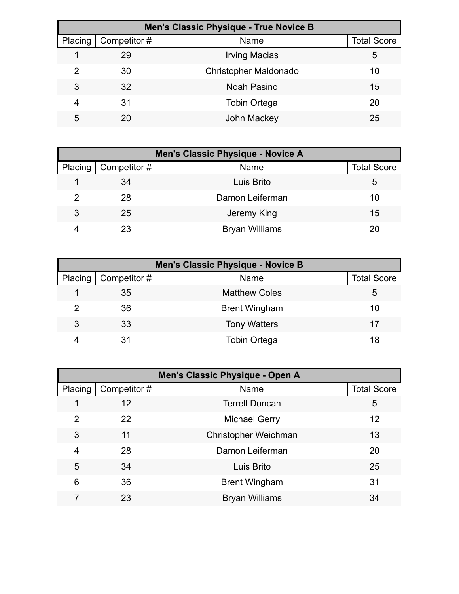|         | <b>Men's Classic Physique - True Novice B</b> |                              |                    |  |  |
|---------|-----------------------------------------------|------------------------------|--------------------|--|--|
| Placing | Competitor #                                  | Name                         | <b>Total Score</b> |  |  |
|         | 29                                            | <b>Irving Macias</b>         | 5                  |  |  |
| 2       | 30                                            | <b>Christopher Maldonado</b> | 10                 |  |  |
| 3       | 32                                            | Noah Pasino                  | 15                 |  |  |
| 4       | 31                                            | <b>Tobin Ortega</b>          | 20                 |  |  |
| 5       | 20                                            | John Mackey                  | 25                 |  |  |

| Men's Classic Physique - Novice A |              |                       |                    |  |
|-----------------------------------|--------------|-----------------------|--------------------|--|
| Placing                           | Competitor # | Name                  | <b>Total Score</b> |  |
|                                   | 34           | Luis Brito            | b                  |  |
| 2                                 | 28           | Damon Leiferman       | 10                 |  |
| 3                                 | 25           | Jeremy King           | 15                 |  |
|                                   | 23           | <b>Bryan Williams</b> | 20                 |  |

| <b>Men's Classic Physique - Novice B</b> |                        |                      |                    |  |
|------------------------------------------|------------------------|----------------------|--------------------|--|
|                                          | Placing   Competitor # | Name                 | <b>Total Score</b> |  |
|                                          | 35                     | <b>Matthew Coles</b> | b                  |  |
| 2                                        | 36                     | <b>Brent Wingham</b> | 10                 |  |
| 3                                        | 33                     | <b>Tony Watters</b>  | 17                 |  |
|                                          | 31                     | <b>Tobin Ortega</b>  | 18                 |  |

| Men's Classic Physique - Open A |              |                       |                    |
|---------------------------------|--------------|-----------------------|--------------------|
| Placing                         | Competitor # | Name                  | <b>Total Score</b> |
|                                 | 12           | <b>Terrell Duncan</b> | 5                  |
| $\overline{2}$                  | 22           | <b>Michael Gerry</b>  | 12                 |
| 3                               | 11           | Christopher Weichman  | 13                 |
| 4                               | 28           | Damon Leiferman       | 20                 |
| 5                               | 34           | Luis Brito            | 25                 |
| 6                               | 36           | <b>Brent Wingham</b>  | 31                 |
|                                 | 23           | <b>Bryan Williams</b> | 34                 |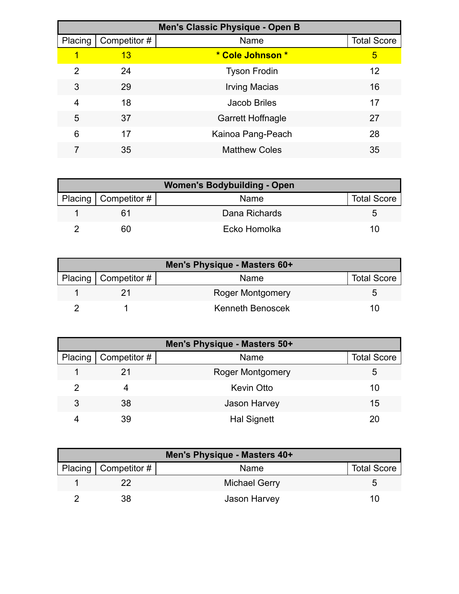| Men's Classic Physique - Open B |              |                          |                    |  |
|---------------------------------|--------------|--------------------------|--------------------|--|
| Placing                         | Competitor # | Name                     | <b>Total Score</b> |  |
|                                 | 13           | * Cole Johnson *         | 5                  |  |
| $\mathcal{P}$                   | 24           | <b>Tyson Frodin</b>      | 12                 |  |
| 3                               | 29           | <b>Irving Macias</b>     | 16                 |  |
| 4                               | 18           | Jacob Briles             | 17                 |  |
| 5                               | 37           | <b>Garrett Hoffnagle</b> | 27                 |  |
| 6                               | 17           | Kainoa Pang-Peach        | 28                 |  |
|                                 | 35           | <b>Matthew Coles</b>     | 35                 |  |

| <b>Women's Bodybuilding - Open</b> |                            |               |                    |
|------------------------------------|----------------------------|---------------|--------------------|
|                                    | Placing   Competitor # $ $ | Name          | <b>Total Score</b> |
|                                    |                            | Dana Richards |                    |
|                                    |                            | Ecko Homolka  |                    |

| Men's Physique - Masters 60+ |                        |                         |                    |  |
|------------------------------|------------------------|-------------------------|--------------------|--|
|                              | Placing   Competitor # | Name                    | <b>Total Score</b> |  |
|                              |                        | <b>Roger Montgomery</b> |                    |  |
|                              |                        | <b>Kenneth Benoscek</b> |                    |  |

| Men's Physique - Masters 50+ |                          |                         |                    |  |
|------------------------------|--------------------------|-------------------------|--------------------|--|
|                              | Placing   Competitor $#$ | Name                    | <b>Total Score</b> |  |
|                              |                          | <b>Roger Montgomery</b> | 5                  |  |
|                              |                          | <b>Kevin Otto</b>       | 10                 |  |
| 3                            | 38                       | <b>Jason Harvey</b>     | 15                 |  |
|                              | 39                       | <b>Hal Signett</b>      |                    |  |

| Men's Physique - Masters 40+ |                      |                    |  |  |
|------------------------------|----------------------|--------------------|--|--|
| Placing   Competitor #       | Name                 | <b>Total Score</b> |  |  |
|                              | <b>Michael Gerry</b> | ∽                  |  |  |
| 38                           | Jason Harvey         | 10                 |  |  |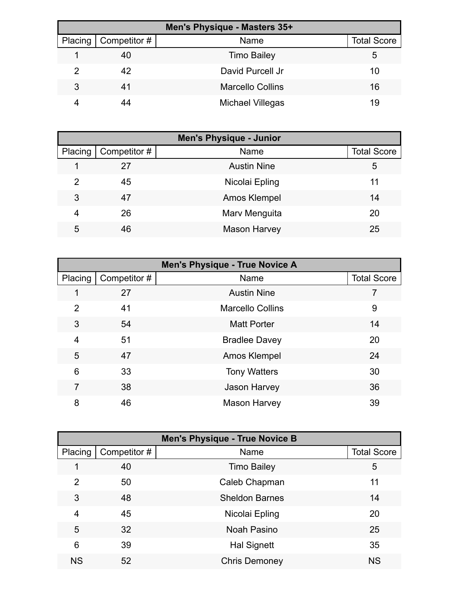| Men's Physique - Masters 35+ |                     |                         |                    |  |
|------------------------------|---------------------|-------------------------|--------------------|--|
| Placing                      | $\mid$ Competitor # | Name                    | <b>Total Score</b> |  |
|                              | 40                  | <b>Timo Bailey</b>      | 5                  |  |
|                              | 42                  | David Purcell Jr        | 10                 |  |
| 3                            | 41                  | <b>Marcello Collins</b> | 16                 |  |
|                              | 44                  | Michael Villegas        | 19                 |  |

| <b>Men's Physique - Junior</b> |              |                     |                    |
|--------------------------------|--------------|---------------------|--------------------|
| Placing                        | Competitor # | Name                | <b>Total Score</b> |
|                                | 27           | <b>Austin Nine</b>  | 5                  |
| 2                              | 45           | Nicolai Epling      | 11                 |
| 3                              | 47           | Amos Klempel        | 14                 |
| 4                              | 26           | Marv Menguita       | 20                 |
| 5                              | 46           | <b>Mason Harvey</b> | 25                 |

|         | Men's Physique - True Novice A |                         |                    |  |  |
|---------|--------------------------------|-------------------------|--------------------|--|--|
| Placing | Competitor #                   | Name                    | <b>Total Score</b> |  |  |
| 1       | 27                             | <b>Austin Nine</b>      |                    |  |  |
| 2       | 41                             | <b>Marcello Collins</b> | 9                  |  |  |
| 3       | 54                             | <b>Matt Porter</b>      | 14                 |  |  |
| 4       | 51                             | <b>Bradlee Davey</b>    | 20                 |  |  |
| 5       | 47                             | Amos Klempel            | 24                 |  |  |
| 6       | 33                             | <b>Tony Watters</b>     | 30                 |  |  |
| 7       | 38                             | <b>Jason Harvey</b>     | 36                 |  |  |
| 8       | 46                             | <b>Mason Harvey</b>     | 39                 |  |  |

| <b>Men's Physique - True Novice B</b> |              |                       |                    |
|---------------------------------------|--------------|-----------------------|--------------------|
| Placing                               | Competitor # | Name                  | <b>Total Score</b> |
|                                       | 40           | <b>Timo Bailey</b>    | 5                  |
| $\overline{2}$                        | 50           | Caleb Chapman         | 11                 |
| 3                                     | 48           | <b>Sheldon Barnes</b> | 14                 |
| 4                                     | 45           | Nicolai Epling        | 20                 |
| 5                                     | 32           | Noah Pasino           | 25                 |
| 6                                     | 39           | <b>Hal Signett</b>    | 35                 |
| <b>NS</b>                             | 52           | <b>Chris Demoney</b>  | <b>NS</b>          |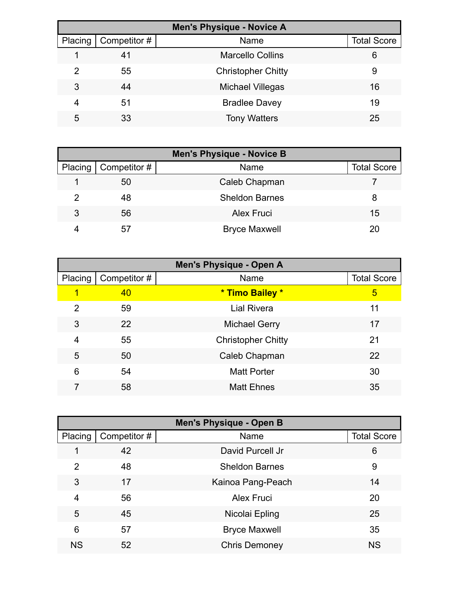| <b>Men's Physique - Novice A</b> |             |                           |                    |  |
|----------------------------------|-------------|---------------------------|--------------------|--|
| Placing                          | Competitor# | Name                      | <b>Total Score</b> |  |
|                                  | 41          | <b>Marcello Collins</b>   | 6                  |  |
| 2                                | 55          | <b>Christopher Chitty</b> | 9                  |  |
| 3                                | 44          | Michael Villegas          | 16                 |  |
| 4                                | 51          | <b>Bradlee Davey</b>      | 19                 |  |
| 5                                | 33          | <b>Tony Watters</b>       | 25                 |  |

| <b>Men's Physique - Novice B</b> |                        |                       |                    |  |
|----------------------------------|------------------------|-----------------------|--------------------|--|
|                                  | Placing   Competitor # | Name                  | <b>Total Score</b> |  |
|                                  | 50                     | Caleb Chapman         |                    |  |
| 2                                | 48                     | <b>Sheldon Barnes</b> | 8                  |  |
| 3                                | 56                     | <b>Alex Fruci</b>     | 15                 |  |
|                                  | 57                     | <b>Bryce Maxwell</b>  | 20                 |  |

| <b>Men's Physique - Open A</b> |              |                           |                    |
|--------------------------------|--------------|---------------------------|--------------------|
| Placing                        | Competitor # | Name                      | <b>Total Score</b> |
| 1                              | 40           | * Timo Bailey *           | 5                  |
| $\overline{2}$                 | 59           | <b>Lial Rivera</b>        | 11                 |
| 3                              | 22           | <b>Michael Gerry</b>      | 17                 |
| 4                              | 55           | <b>Christopher Chitty</b> | 21                 |
| 5                              | 50           | Caleb Chapman             | 22                 |
| 6                              | 54           | <b>Matt Porter</b>        | 30                 |
|                                | 58           | <b>Matt Ehnes</b>         | 35                 |

|           | <b>Men's Physique - Open B</b> |                       |                    |  |
|-----------|--------------------------------|-----------------------|--------------------|--|
| Placing   | Competitor #                   | Name                  | <b>Total Score</b> |  |
|           | 42                             | David Purcell Jr      | 6                  |  |
| 2         | 48                             | <b>Sheldon Barnes</b> | 9                  |  |
| 3         | 17                             | Kainoa Pang-Peach     | 14                 |  |
| 4         | 56                             | <b>Alex Fruci</b>     | 20                 |  |
| 5         | 45                             | Nicolai Epling        | 25                 |  |
| 6         | 57                             | <b>Bryce Maxwell</b>  | 35                 |  |
| <b>NS</b> | 52                             | <b>Chris Demoney</b>  | <b>NS</b>          |  |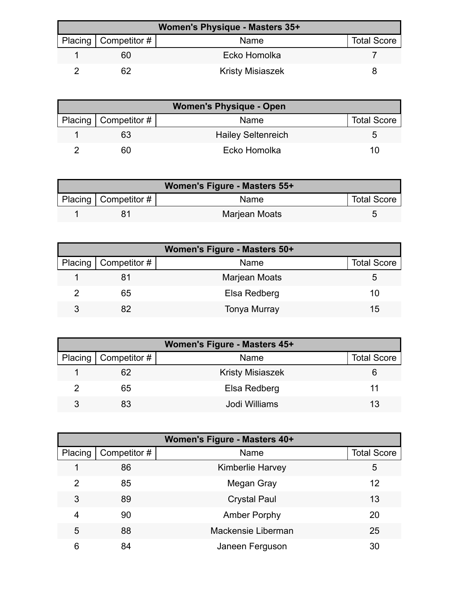| <b>Women's Physique - Masters 35+</b> |                        |                         |                    |
|---------------------------------------|------------------------|-------------------------|--------------------|
|                                       | Placing   Competitor # | Name                    | <b>Total Score</b> |
|                                       | 60                     | Ecko Homolka            |                    |
|                                       |                        | <b>Kristy Misiaszek</b> |                    |

| Women's Physique - Open |                        |                           |                    |
|-------------------------|------------------------|---------------------------|--------------------|
|                         | Placing   Competitor # | Name                      | <b>Total Score</b> |
|                         |                        | <b>Hailey Seltenreich</b> |                    |
|                         | 60                     | Ecko Homolka              | 10                 |

| Women's Figure - Masters 55+ |                          |               |                    |  |
|------------------------------|--------------------------|---------------|--------------------|--|
|                              | Placing   Competitor $#$ | Name          | <b>Total Score</b> |  |
|                              |                          | Marjean Moats |                    |  |

| Women's Figure - Masters 50+ |                              |                     |                    |
|------------------------------|------------------------------|---------------------|--------------------|
|                              | Placing $\vert$ Competitor # | Name                | <b>Total Score</b> |
|                              |                              | Marjean Moats       | G                  |
|                              | 65                           | Elsa Redberg        | 10                 |
|                              | 82                           | <b>Tonya Murray</b> | 15                 |

| Women's Figure - Masters 45+ |                              |                         |                    |
|------------------------------|------------------------------|-------------------------|--------------------|
|                              | Placing $\vert$ Competitor # | Name                    | <b>Total Score</b> |
|                              | 62                           | <b>Kristy Misiaszek</b> |                    |
|                              | 65                           | Elsa Redberg            |                    |
| 3                            | 83                           | Jodi Williams           |                    |

| Women's Figure - Masters 40+ |              |                         |                    |
|------------------------------|--------------|-------------------------|--------------------|
| Placing                      | Competitor # | Name                    | <b>Total Score</b> |
|                              | 86           | <b>Kimberlie Harvey</b> | 5                  |
| 2                            | 85           | Megan Gray              | 12                 |
| 3                            | 89           | <b>Crystal Paul</b>     | 13                 |
| 4                            | 90           | <b>Amber Porphy</b>     | 20                 |
| 5                            | 88           | Mackensie Liberman      | 25                 |
| 6                            | 84           | Janeen Ferguson         | 30                 |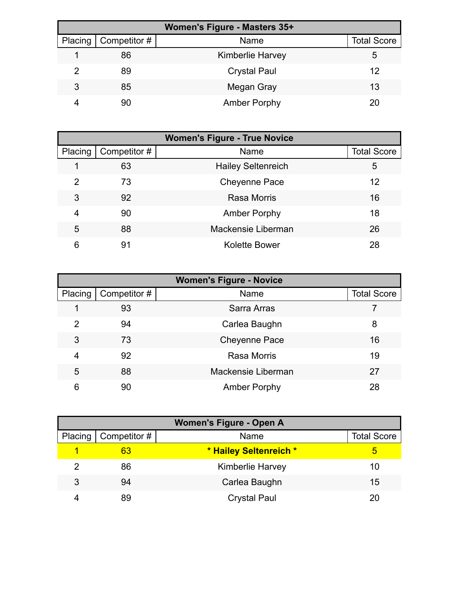| Women's Figure - Masters 35+ |                              |                         |                    |
|------------------------------|------------------------------|-------------------------|--------------------|
|                              | Placing $\vert$ Competitor # | Name                    | <b>Total Score</b> |
|                              | 86                           | <b>Kimberlie Harvey</b> | 5                  |
|                              | 89                           | <b>Crystal Paul</b>     | 12                 |
| 3                            | 85                           | Megan Gray              | 13                 |
|                              | 90                           | <b>Amber Porphy</b>     | 20                 |

| <b>Women's Figure - True Novice</b> |              |                           |                    |
|-------------------------------------|--------------|---------------------------|--------------------|
| Placing                             | Competitor # | Name                      | <b>Total Score</b> |
|                                     | 63           | <b>Hailey Seltenreich</b> | 5                  |
| 2                                   | 73           | <b>Cheyenne Pace</b>      | 12                 |
| 3                                   | 92           | <b>Rasa Morris</b>        | 16                 |
| 4                                   | 90           | <b>Amber Porphy</b>       | 18                 |
| 5                                   | 88           | Mackensie Liberman        | 26                 |
| 6                                   | 91           | <b>Kolette Bower</b>      | 28                 |

| <b>Women's Figure - Novice</b> |              |                      |                    |
|--------------------------------|--------------|----------------------|--------------------|
| Placing                        | Competitor # | Name                 | <b>Total Score</b> |
|                                | 93           | Sarra Arras          |                    |
| 2                              | 94           | Carlea Baughn        | 8                  |
| 3                              | 73           | <b>Cheyenne Pace</b> | 16                 |
| 4                              | 92           | Rasa Morris          | 19                 |
| 5                              | 88           | Mackensie Liberman   | 27                 |
| 6                              | 90           | <b>Amber Porphy</b>  | 28                 |

| <b>Women's Figure - Open A</b> |              |                         |                    |
|--------------------------------|--------------|-------------------------|--------------------|
| Placing                        | Competitor # | Name                    | <b>Total Score</b> |
|                                | 63           | * Hailey Seltenreich *  | 5                  |
| 2                              | 86           | <b>Kimberlie Harvey</b> | 10                 |
| 3                              | 94           | Carlea Baughn           | 15                 |
|                                | 89           | <b>Crystal Paul</b>     | 20                 |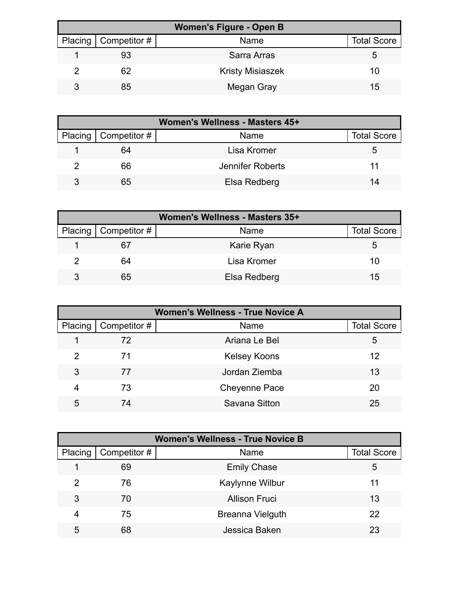| <b>Women's Figure - Open B</b> |                        |                         |                    |  |
|--------------------------------|------------------------|-------------------------|--------------------|--|
|                                | Placing   Competitor # | Name                    | <b>Total Score</b> |  |
|                                | 93                     | Sarra Arras             | G                  |  |
|                                | 62                     | <b>Kristy Misiaszek</b> | 10                 |  |
|                                | 85                     | Megan Gray              | 15                 |  |

| Women's Wellness - Masters 45+ |                        |                  |                    |
|--------------------------------|------------------------|------------------|--------------------|
|                                | Placing   Competitor # | <b>Name</b>      | <b>Total Score</b> |
|                                | 64                     | Lisa Kromer      | G                  |
|                                | 66                     | Jennifer Roberts | 11.                |
| 3                              | 65                     | Elsa Redberg     | 14                 |

| Women's Wellness - Masters 35+ |                              |              |                    |  |
|--------------------------------|------------------------------|--------------|--------------------|--|
|                                | Placing $\vert$ Competitor # | Name         | <b>Total Score</b> |  |
|                                | 67                           | Karie Ryan   | G                  |  |
|                                | 64                           | Lisa Kromer  | 10                 |  |
|                                | 65                           | Elsa Redberg | 15                 |  |

| <b>Women's Wellness - True Novice A</b> |              |                     |                    |
|-----------------------------------------|--------------|---------------------|--------------------|
| Placing                                 | Competitor # | Name                | <b>Total Score</b> |
|                                         | 72           | Ariana Le Bel       | 5                  |
| 2                                       | 71           | <b>Kelsey Koons</b> | 12                 |
| 3                                       | 77           | Jordan Ziemba       | 13                 |
| 4                                       | 73           | Cheyenne Pace       | 20                 |
| 5                                       | 74           | Savana Sitton       | 25                 |

| <b>Women's Wellness - True Novice B</b> |              |                         |                    |
|-----------------------------------------|--------------|-------------------------|--------------------|
| Placing                                 | Competitor # | Name                    | <b>Total Score</b> |
|                                         | 69           | <b>Emily Chase</b>      | 5                  |
| 2                                       | 76           | Kaylynne Wilbur         | 11                 |
| 3                                       | 70           | <b>Allison Fruci</b>    | 13                 |
| 4                                       | 75           | <b>Breanna Vielguth</b> | 22                 |
| 5                                       | 68           | Jessica Baken           | 23                 |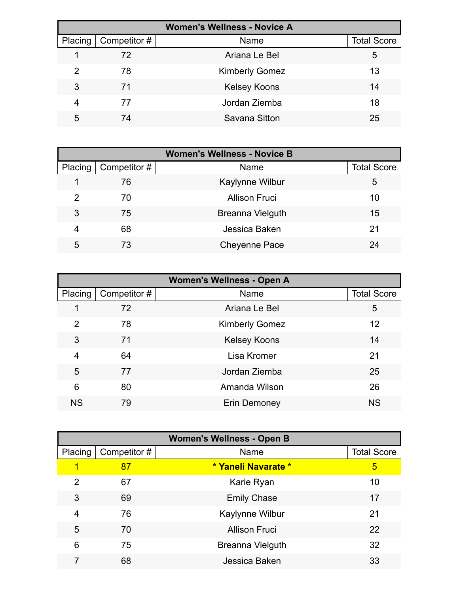| <b>Women's Wellness - Novice A</b> |              |                       |                    |  |
|------------------------------------|--------------|-----------------------|--------------------|--|
| Placing                            | Competitor # | Name                  | <b>Total Score</b> |  |
|                                    | 72           | Ariana Le Bel         | 5                  |  |
| 2                                  | 78           | <b>Kimberly Gomez</b> | 13                 |  |
| 3                                  | 71           | <b>Kelsey Koons</b>   | 14                 |  |
| 4                                  | 77           | Jordan Ziemba         | 18                 |  |
| 5                                  | 74           | Savana Sitton         | 25                 |  |

| <b>Women's Wellness - Novice B</b> |             |                         |                    |  |
|------------------------------------|-------------|-------------------------|--------------------|--|
| Placing                            | Competitor# | Name                    | <b>Total Score</b> |  |
|                                    | 76          | Kaylynne Wilbur         | 5                  |  |
| 2                                  | 70          | <b>Allison Fruci</b>    | 10                 |  |
| 3                                  | 75          | <b>Breanna Vielguth</b> | 15                 |  |
| 4                                  | 68          | Jessica Baken           | 21                 |  |
| 5                                  | 73          | <b>Cheyenne Pace</b>    | 24                 |  |

| <b>Women's Wellness - Open A</b> |              |                       |                    |
|----------------------------------|--------------|-----------------------|--------------------|
| Placing                          | Competitor # | Name                  | <b>Total Score</b> |
| 1                                | 72           | Ariana Le Bel         | 5                  |
| $\overline{2}$                   | 78           | <b>Kimberly Gomez</b> | 12                 |
| 3                                | 71           | <b>Kelsey Koons</b>   | 14                 |
| 4                                | 64           | Lisa Kromer           | 21                 |
| 5                                | 77           | Jordan Ziemba         | 25                 |
| 6                                | 80           | Amanda Wilson         | 26                 |
| <b>NS</b>                        | 79           | <b>Erin Demoney</b>   | <b>NS</b>          |

| <b>Women's Wellness - Open B</b> |              |                         |                    |  |
|----------------------------------|--------------|-------------------------|--------------------|--|
| Placing                          | Competitor # | Name                    | <b>Total Score</b> |  |
|                                  | 87           | * Yaneli Navarate *     | 5                  |  |
| 2                                | 67           | Karie Ryan              | 10                 |  |
| 3                                | 69           | <b>Emily Chase</b>      | 17                 |  |
| 4                                | 76           | Kaylynne Wilbur         | 21                 |  |
| 5                                | 70           | <b>Allison Fruci</b>    | 22                 |  |
| 6                                | 75           | <b>Breanna Vielguth</b> | 32                 |  |
|                                  | 68           | Jessica Baken           | 33                 |  |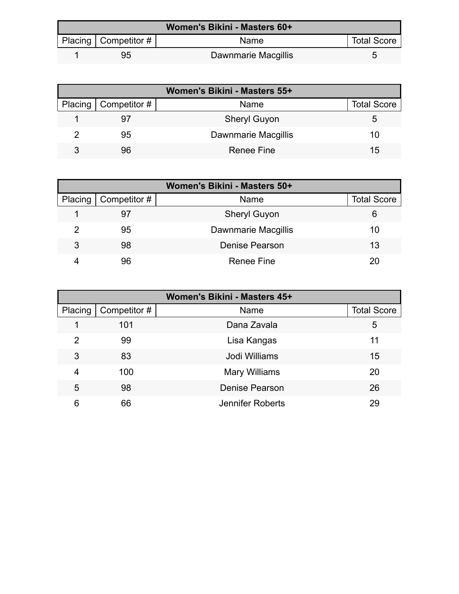| Women's Bikini - Masters 60+ |                        |                            |                    |  |
|------------------------------|------------------------|----------------------------|--------------------|--|
|                              | Placing   Competitor # | <b>Name</b>                | <b>Total Score</b> |  |
|                              | 95                     | <b>Dawnmarie Macgillis</b> |                    |  |

| Women's Bikini - Masters 55+ |                              |                     |                    |  |
|------------------------------|------------------------------|---------------------|--------------------|--|
|                              | Placing $\vert$ Competitor # | Name                | <b>Total Score</b> |  |
|                              |                              | <b>Sheryl Guyon</b> | 5.                 |  |
|                              | 95                           | Dawnmarie Macgillis | 10                 |  |
| 3                            | 96                           | Renee Fine          | 15                 |  |

| Women's Bikini - Masters 50+ |              |                       |                    |  |
|------------------------------|--------------|-----------------------|--------------------|--|
| Placing <sup>1</sup>         | Competitor # | Name                  | <b>Total Score</b> |  |
|                              | 97           | <b>Sheryl Guyon</b>   | 6                  |  |
|                              | 95           | Dawnmarie Macgillis   | 10                 |  |
| 3                            | 98           | <b>Denise Pearson</b> | 13                 |  |
|                              | 96           | Renee Fine            | 20                 |  |

| Women's Bikini - Masters 45+ |              |                         |                    |
|------------------------------|--------------|-------------------------|--------------------|
| Placing                      | Competitor # | Name                    | <b>Total Score</b> |
|                              | 101          | Dana Zavala             | 5                  |
| 2                            | 99           | Lisa Kangas             | 11                 |
| 3                            | 83           | Jodi Williams           | 15                 |
| 4                            | 100          | <b>Mary Williams</b>    | 20                 |
| 5                            | 98           | <b>Denise Pearson</b>   | 26                 |
| 6                            | 66           | <b>Jennifer Roberts</b> | 29                 |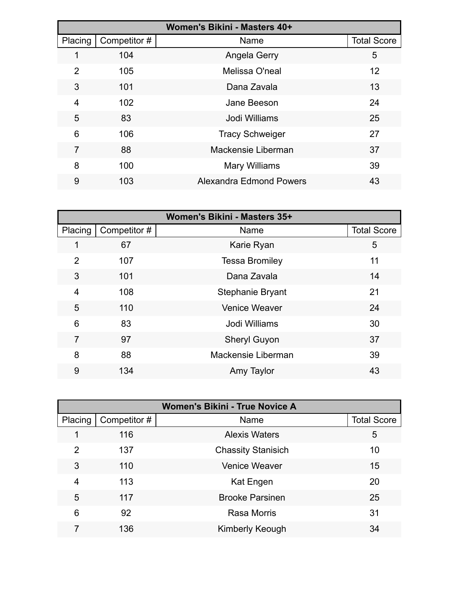| Women's Bikini - Masters 40+ |              |                         |                    |
|------------------------------|--------------|-------------------------|--------------------|
| Placing                      | Competitor # | Name                    | <b>Total Score</b> |
| 1                            | 104          | Angela Gerry            | 5                  |
| 2                            | 105          | Melissa O'neal          | 12                 |
| 3                            | 101          | Dana Zavala             | 13                 |
| 4                            | 102          | Jane Beeson             | 24                 |
| 5                            | 83           | Jodi Williams           | 25                 |
| 6                            | 106          | <b>Tracy Schweiger</b>  | 27                 |
| 7                            | 88           | Mackensie Liberman      | 37                 |
| 8                            | 100          | <b>Mary Williams</b>    | 39                 |
| 9                            | 103          | Alexandra Edmond Powers | 43                 |

|                |              | Women's Bikini - Masters 35+ |                    |
|----------------|--------------|------------------------------|--------------------|
| Placing        | Competitor # | Name                         | <b>Total Score</b> |
| 1              | 67           | Karie Ryan                   | 5                  |
| $\overline{2}$ | 107          | <b>Tessa Bromiley</b>        | 11                 |
| 3              | 101          | Dana Zavala                  | 14                 |
| 4              | 108          | <b>Stephanie Bryant</b>      | 21                 |
| 5              | 110          | <b>Venice Weaver</b>         | 24                 |
| 6              | 83           | Jodi Williams                | 30                 |
| 7              | 97           | <b>Sheryl Guyon</b>          | 37                 |
| 8              | 88           | Mackensie Liberman           | 39                 |
| 9              | 134          | Amy Taylor                   | 43                 |

| <b>Women's Bikini - True Novice A</b> |              |                           |                    |
|---------------------------------------|--------------|---------------------------|--------------------|
| Placing                               | Competitor # | Name                      | <b>Total Score</b> |
|                                       | 116          | <b>Alexis Waters</b>      | 5                  |
| 2                                     | 137          | <b>Chassity Stanisich</b> | 10                 |
| 3                                     | 110          | <b>Venice Weaver</b>      | 15                 |
| 4                                     | 113          | Kat Engen                 | 20                 |
| 5                                     | 117          | <b>Brooke Parsinen</b>    | 25                 |
| 6                                     | 92           | <b>Rasa Morris</b>        | 31                 |
|                                       | 136          | Kimberly Keough           | 34                 |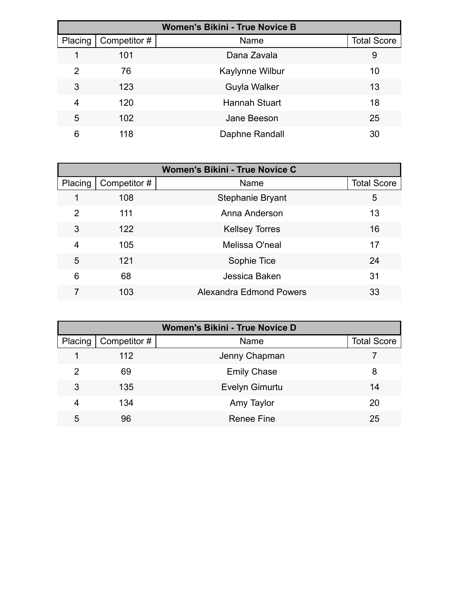| <b>Women's Bikini - True Novice B</b> |              |                      |                    |  |
|---------------------------------------|--------------|----------------------|--------------------|--|
| Placing                               | Competitor # | Name                 | <b>Total Score</b> |  |
|                                       | 101          | Dana Zavala          | 9                  |  |
| 2                                     | 76           | Kaylynne Wilbur      | 10                 |  |
| 3                                     | 123          | Guyla Walker         | 13                 |  |
| 4                                     | 120          | <b>Hannah Stuart</b> | 18                 |  |
| 5                                     | 102          | Jane Beeson          | 25                 |  |
| 6                                     | 118          | Daphne Randall       | 30                 |  |

| <b>Women's Bikini - True Novice C</b> |              |                         |                    |
|---------------------------------------|--------------|-------------------------|--------------------|
| Placing                               | Competitor # | Name                    | <b>Total Score</b> |
|                                       | 108          | Stephanie Bryant        | 5                  |
| 2                                     | 111          | Anna Anderson           | 13                 |
| 3                                     | 122          | <b>Kellsey Torres</b>   | 16                 |
| 4                                     | 105          | Melissa O'neal          | 17                 |
| 5                                     | 121          | Sophie Tice             | 24                 |
| 6                                     | 68           | Jessica Baken           | 31                 |
|                                       | 103          | Alexandra Edmond Powers | 33                 |

| <b>Women's Bikini - True Novice D</b> |              |                    |                    |  |
|---------------------------------------|--------------|--------------------|--------------------|--|
| Placing                               | Competitor # | Name               | <b>Total Score</b> |  |
|                                       | 112          | Jenny Chapman      |                    |  |
| 2                                     | 69           | <b>Emily Chase</b> | 8                  |  |
| 3                                     | 135          | Evelyn Gimurtu     | 14                 |  |
| 4                                     | 134          | Amy Taylor         | 20                 |  |
| 5                                     | 96           | <b>Renee Fine</b>  | 25                 |  |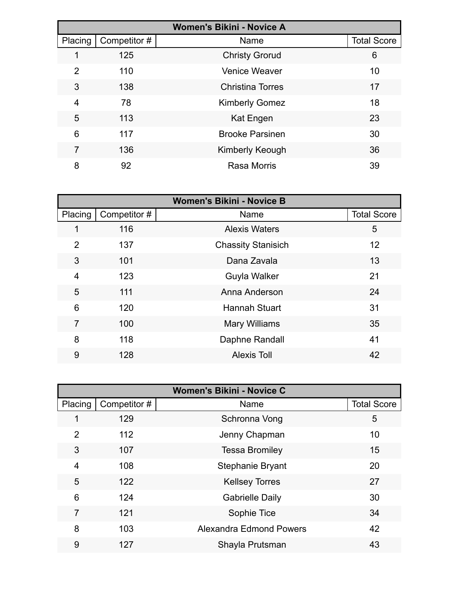| <b>Women's Bikini - Novice A</b> |              |                         |                    |  |
|----------------------------------|--------------|-------------------------|--------------------|--|
| Placing                          | Competitor # | Name                    | <b>Total Score</b> |  |
| 1                                | 125          | <b>Christy Grorud</b>   | 6                  |  |
| $\overline{2}$                   | 110          | <b>Venice Weaver</b>    | 10                 |  |
| 3                                | 138          | <b>Christina Torres</b> | 17                 |  |
| 4                                | 78           | <b>Kimberly Gomez</b>   | 18                 |  |
| 5                                | 113          | Kat Engen               | 23                 |  |
| 6                                | 117          | <b>Brooke Parsinen</b>  | 30                 |  |
| 7                                | 136          | Kimberly Keough         | 36                 |  |
| 8                                | 92           | Rasa Morris             | 39                 |  |

| <b>Women's Bikini - Novice B</b> |              |                           |                    |  |
|----------------------------------|--------------|---------------------------|--------------------|--|
| Placing                          | Competitor # | Name                      | <b>Total Score</b> |  |
| 1                                | 116          | <b>Alexis Waters</b>      | 5                  |  |
| $\overline{2}$                   | 137          | <b>Chassity Stanisich</b> | 12                 |  |
| 3                                | 101          | Dana Zavala               | 13                 |  |
| 4                                | 123          | Guyla Walker              | 21                 |  |
| 5                                | 111          | Anna Anderson             | 24                 |  |
| 6                                | 120          | <b>Hannah Stuart</b>      | 31                 |  |
| $\overline{7}$                   | 100          | <b>Mary Williams</b>      | 35                 |  |
| 8                                | 118          | Daphne Randall            | 41                 |  |
| 9                                | 128          | <b>Alexis Toll</b>        | 42                 |  |

| <b>Women's Bikini - Novice C</b> |              |                                |                    |  |
|----------------------------------|--------------|--------------------------------|--------------------|--|
| Placing                          | Competitor # | Name                           | <b>Total Score</b> |  |
| 1                                | 129          | Schronna Vong                  | 5                  |  |
| $\overline{2}$                   | 112          | Jenny Chapman                  | 10                 |  |
| 3                                | 107          | <b>Tessa Bromiley</b>          | 15                 |  |
| 4                                | 108          | <b>Stephanie Bryant</b>        | 20                 |  |
| 5                                | 122          | <b>Kellsey Torres</b>          | 27                 |  |
| 6                                | 124          | <b>Gabrielle Daily</b>         | 30                 |  |
| $\overline{7}$                   | 121          | Sophie Tice                    | 34                 |  |
| 8                                | 103          | <b>Alexandra Edmond Powers</b> | 42                 |  |
| 9                                | 127          | Shayla Prutsman                | 43                 |  |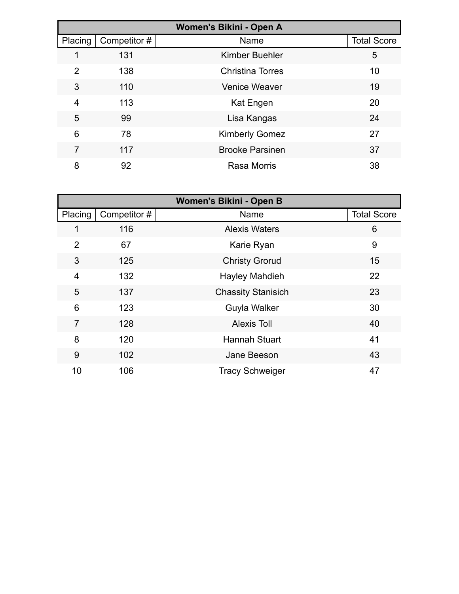| Women's Bikini - Open A |              |                         |                    |  |
|-------------------------|--------------|-------------------------|--------------------|--|
| Placing                 | Competitor # | Name                    | <b>Total Score</b> |  |
|                         | 131          | <b>Kimber Buehler</b>   | 5                  |  |
| 2                       | 138          | <b>Christina Torres</b> | 10                 |  |
| 3                       | 110          | <b>Venice Weaver</b>    | 19                 |  |
| 4                       | 113          | Kat Engen               | 20                 |  |
| 5                       | 99           | Lisa Kangas             | 24                 |  |
| 6                       | 78           | <b>Kimberly Gomez</b>   | 27                 |  |
| 7                       | 117          | <b>Brooke Parsinen</b>  | 37                 |  |
| 8                       | 92           | Rasa Morris             | 38                 |  |

|                |              | <b>Women's Bikini - Open B</b> |                    |
|----------------|--------------|--------------------------------|--------------------|
| Placing        | Competitor # | Name                           | <b>Total Score</b> |
| 1              | 116          | <b>Alexis Waters</b>           | 6                  |
| $\overline{2}$ | 67           | Karie Ryan                     | 9                  |
| 3              | 125          | <b>Christy Grorud</b>          | 15                 |
| 4              | 132          | <b>Hayley Mahdieh</b>          | 22                 |
| 5              | 137          | <b>Chassity Stanisich</b>      | 23                 |
| 6              | 123          | <b>Guyla Walker</b>            | 30                 |
| $\overline{7}$ | 128          | <b>Alexis Toll</b>             | 40                 |
| 8              | 120          | <b>Hannah Stuart</b>           | 41                 |
| 9              | 102          | Jane Beeson                    | 43                 |
| 10             | 106          | <b>Tracy Schweiger</b>         | 47                 |